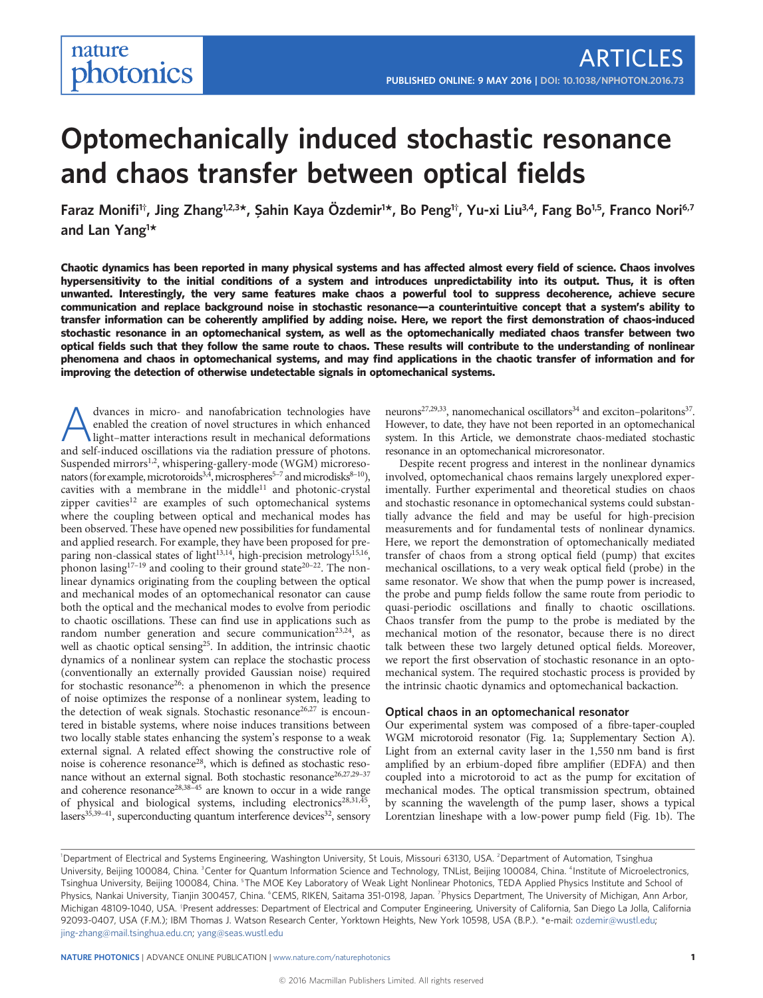# Optomechanically induced stochastic resonance and chaos transfer between optical fields

Faraz Monifi<sup>1†</sup>, Jing Zhang<sup>1,2,3</sup>\*, Şahin Kaya Özdemir<sup>1\*</sup>, Bo Peng<sup>1†</sup>, Yu-xi Liu<sup>3,4</sup>, Fang Bo<sup>1,5</sup>, Franco Nori<sup>6,7</sup> and Lan Yang<sup>1\*</sup>

Chaotic dynamics has been reported in many physical systems and has affected almost every field of science. Chaos involves hypersensitivity to the initial conditions of a system and introduces unpredictability into its output. Thus, it is often unwanted. Interestingly, the very same features make chaos a powerful tool to suppress decoherence, achieve secure communication and replace background noise in stochastic resonance—a counterintuitive concept that a system's ability to transfer information can be coherently amplified by adding noise. Here, we report the first demonstration of chaos-induced stochastic resonance in an optomechanical system, as well as the optomechanically mediated chaos transfer between two optical fields such that they follow the same route to chaos. These results will contribute to the understanding of nonlinear phenomena and chaos in optomechanical systems, and may find applications in the chaotic transfer of information and for improving the detection of otherwise undetectable signals in optomechanical systems.

A dvances in micro- and nanofabrication technologies have<br>enabled the creation of novel structures in which enhanced<br>light–matter interactions result in mechanical deformations<br>and self induced oscillations wis the radiati enabled the creation of novel structures in which enhanced and self-induced oscillations via the radiation pressure of photons. Suspended mirrors<sup>1,2</sup>, whispering-gallery-mode (WGM) microresonators (for example, microtoroids<sup>3,4</sup>, microspheres<sup>5-7</sup> and microdisks<sup>8-10</sup>), cavities with a membrane in the middle $11$  and photonic-crystal zipper cavities<sup>12</sup> are examples of such optomechanical systems where the coupling between optical and mechanical modes has been observed. These have opened new possibilities for fundamental and applied research. For example, they have been proposed for preparing non-classical states of light<sup>13,14</sup>, high-precision metrology<sup>15,16</sup>, phonon lasing<sup>17–19</sup> and cooling to their ground state<sup>20–22</sup>. The nonlinear dynamics originating from the coupling between the optical and mechanical modes of an optomechanical resonator can cause both the optical and the mechanical modes to evolve from periodic to chaotic oscillations. These can find use in applications such as random number generation and secure communication<sup>23,24</sup>, as well as chaotic optical sensing<sup>25</sup>. In addition, the intrinsic chaotic dynamics of a nonlinear system can replace the stochastic process (conventionally an externally provided Gaussian noise) required for stochastic resonance<sup>26</sup>: a phenomenon in which the presence of noise optimizes the response of a nonlinear system, leading to the detection of weak signals. Stochastic resonance<sup>26,27</sup> is encountered in bistable systems, where noise induces transitions between two locally stable states enhancing the system's response to a weak external signal. A related effect showing the constructive role of noise is coherence resonance<sup>28</sup>, which is defined as stochastic resonance without an external signal. Both stochastic resonance<sup>26,27,29-37</sup> and coherence resonance<sup>28,38–45</sup> are known to occur in a wide range of physical and biological systems, including electronics<sup>28,31,45</sup>, lasers<sup>35,39–41</sup>, superconducting quantum interference devices<sup>32</sup>, sensory neurons<sup>27,29,33</sup>, nanomechanical oscillators<sup>34</sup> and exciton-polaritons<sup>37</sup>. However, to date, they have not been reported in an optomechanical system. In this Article, we demonstrate chaos-mediated stochastic resonance in an optomechanical microresonator.

Despite recent progress and interest in the nonlinear dynamics involved, optomechanical chaos remains largely unexplored experimentally. Further experimental and theoretical studies on chaos and stochastic resonance in optomechanical systems could substantially advance the field and may be useful for high-precision measurements and for fundamental tests of nonlinear dynamics. Here, we report the demonstration of optomechanically mediated transfer of chaos from a strong optical field (pump) that excites mechanical oscillations, to a very weak optical field (probe) in the same resonator. We show that when the pump power is increased, the probe and pump fields follow the same route from periodic to quasi-periodic oscillations and finally to chaotic oscillations. Chaos transfer from the pump to the probe is mediated by the mechanical motion of the resonator, because there is no direct talk between these two largely detuned optical fields. Moreover, we report the first observation of stochastic resonance in an optomechanical system. The required stochastic process is provided by the intrinsic chaotic dynamics and optomechanical backaction.

### Optical chaos in an optomechanical resonator

Our experimental system was composed of a fibre-taper-coupled WGM microtoroid resonator (Fig. 1a; Supplementary Section A). Light from an external cavity laser in the 1,550 nm band is first amplified by an erbium-doped fibre amplifier (EDFA) and then coupled into a microtoroid to act as the pump for excitation of mechanical modes. The optical transmission spectrum, obtained by scanning the wavelength of the pump laser, shows a typical Lorentzian lineshape with a low-power pump field (Fig. 1b). The

<sup>&</sup>lt;sup>1</sup>Department of Electrical and Systems Engineering, Washington University, St Louis, Missouri 63130, USA. <sup>2</sup>Department of Automation, Tsinghua University, Beijing 100084, China. <sup>3</sup>Center for Quantum Information Science and Technology, TNList, Beijing 100084, China. <sup>4</sup>Institute of Microelectronics, Tsinghua University, Beijing 100084, China. <sup>s</sup>The MOE Key Laboratory of Weak Light Nonlinear Photonics, TEDA Applied Physics Institute and School of Physics, Nankai University, Tianjin 300457, China. °CEMS, RIKEN, Saitama 351-0198, Japan. <sup>7</sup>Physics Department, The University of Michigan, Ann Arbor, Michigan 48109-1040, USA. † Present addresses: Department of Electrical and Computer Engineering, University of California, San Diego La Jolla, California 92093-0407, USA (F.M.); IBM Thomas J. Watson Research Center, Yorktown Heights, New York 10598, USA (B.P.). \*e-mail: [ozdemir@wustl.edu;](mailto:ozdemir@wustl.edu) [jing-zhang@mail.tsinghua.edu.cn;](mailto:jing-zhang@mail.tsinghua.edu.cn) [yang@seas.wustl.edu](mailto:yang@seas.wustl.edu)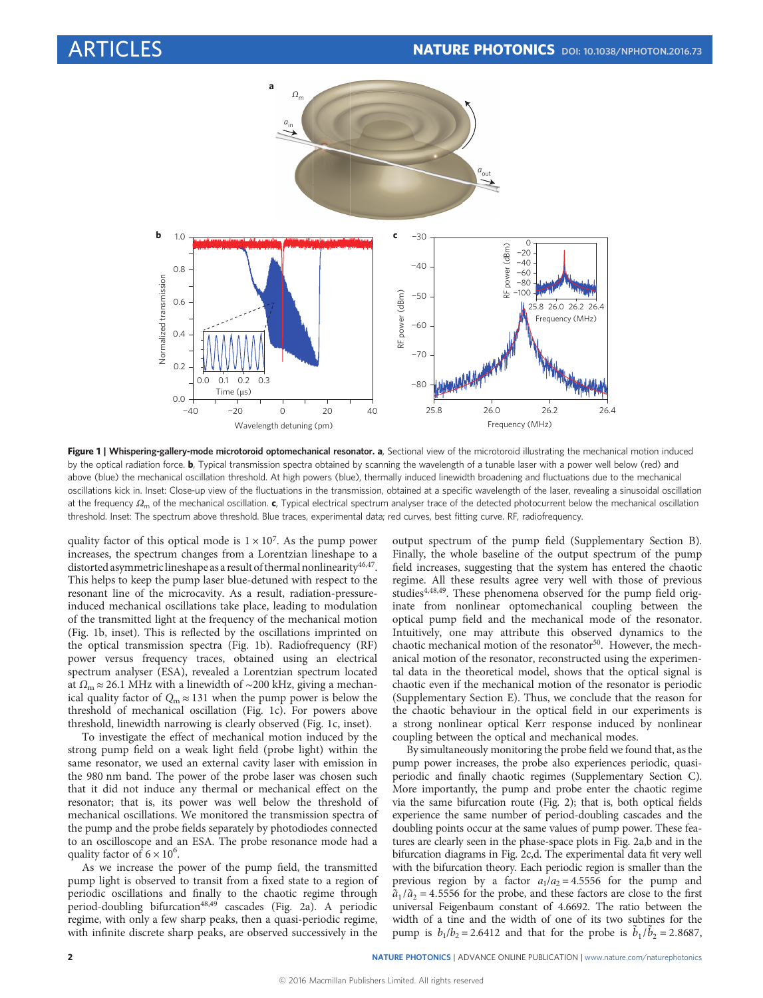

Figure 1 | Whispering-gallery-mode microtoroid optomechanical resonator. a, Sectional view of the microtoroid illustrating the mechanical motion induced by the optical radiation force. b, Typical transmission spectra obtained by scanning the wavelength of a tunable laser with a power well below (red) and above (blue) the mechanical oscillation threshold. At high powers (blue), thermally induced linewidth broadening and fluctuations due to the mechanical oscillations kick in. Inset: Close-up view of the fluctuations in the transmission, obtained at a specific wavelength of the laser, revealing a sinusoidal oscillation at the frequency  $Ω<sub>m</sub>$  of the mechanical oscillation. c, Typical electrical spectrum analyser trace of the detected photocurrent below the mechanical oscillation threshold. Inset: The spectrum above threshold. Blue traces, experimental data; red curves, best fitting curve. RF, radiofrequency.

quality factor of this optical mode is  $1 \times 10^7$ . As the pump power increases, the spectrum changes from a Lorentzian lineshape to a distorted asymmetric lineshape as a result of thermal nonlinearity<sup>46,47</sup>. This helps to keep the pump laser blue-detuned with respect to the resonant line of the microcavity. As a result, radiation-pressureinduced mechanical oscillations take place, leading to modulation of the transmitted light at the frequency of the mechanical motion (Fig. 1b, inset). This is reflected by the oscillations imprinted on the optical transmission spectra (Fig. 1b). Radiofrequency (RF) power versus frequency traces, obtained using an electrical spectrum analyser (ESA), revealed a Lorentzian spectrum located at  $Ω<sub>m</sub> ≈ 26.1 MHz with a linewidth of ~200 kHz, giving a mechanism$ ical quality factor of  $Q_m \approx 131$  when the pump power is below the threshold of mechanical oscillation (Fig. 1c). For powers above threshold, linewidth narrowing is clearly observed (Fig. 1c, inset).

To investigate the effect of mechanical motion induced by the strong pump field on a weak light field (probe light) within the same resonator, we used an external cavity laser with emission in the 980 nm band. The power of the probe laser was chosen such that it did not induce any thermal or mechanical effect on the resonator; that is, its power was well below the threshold of mechanical oscillations. We monitored the transmission spectra of the pump and the probe fields separately by photodiodes connected to an oscilloscope and an ESA. The probe resonance mode had a quality factor of  $6 \times 10^6$ .

As we increase the power of the pump field, the transmitted pump light is observed to transit from a fixed state to a region of periodic oscillations and finally to the chaotic regime through period-doubling bifurcation<sup>48,49</sup> cascades (Fig. 2a). A periodic regime, with only a few sharp peaks, then a quasi-periodic regime, with infinite discrete sharp peaks, are observed successively in the output spectrum of the pump field (Supplementary Section B). Finally, the whole baseline of the output spectrum of the pump field increases, suggesting that the system has entered the chaotic regime. All these results agree very well with those of previous studies<sup>4,48,49</sup>. These phenomena observed for the pump field originate from nonlinear optomechanical coupling between the optical pump field and the mechanical mode of the resonator. Intuitively, one may attribute this observed dynamics to the chaotic mechanical motion of the resonator<sup>50</sup>. However, the mechanical motion of the resonator, reconstructed using the experimental data in the theoretical model, shows that the optical signal is chaotic even if the mechanical motion of the resonator is periodic (Supplementary Section E). Thus, we conclude that the reason for the chaotic behaviour in the optical field in our experiments is a strong nonlinear optical Kerr response induced by nonlinear coupling between the optical and mechanical modes.

By simultaneously monitoring the probe field we found that, as the pump power increases, the probe also experiences periodic, quasiperiodic and finally chaotic regimes (Supplementary Section C). More importantly, the pump and probe enter the chaotic regime via the same bifurcation route (Fig. 2); that is, both optical fields experience the same number of period-doubling cascades and the doubling points occur at the same values of pump power. These features are clearly seen in the phase-space plots in Fig. 2a,b and in the bifurcation diagrams in Fig. 2c,d. The experimental data fit very well with the bifurcation theory. Each periodic region is smaller than the previous region by a factor  $a_1/a_2 = 4.5556$  for the pump and  $\tilde{a}_1/\tilde{a}_2$  = 4.5556 for the probe, and these factors are close to the first universal Feigenbaum constant of 4.6692. The ratio between the width of a tine and the width of one of its two subtines for the pump is  $b_1/b_2 = 2.6412$  and that for the probe is  $\tilde{b}_1/\tilde{b}_2 = 2.8687$ ,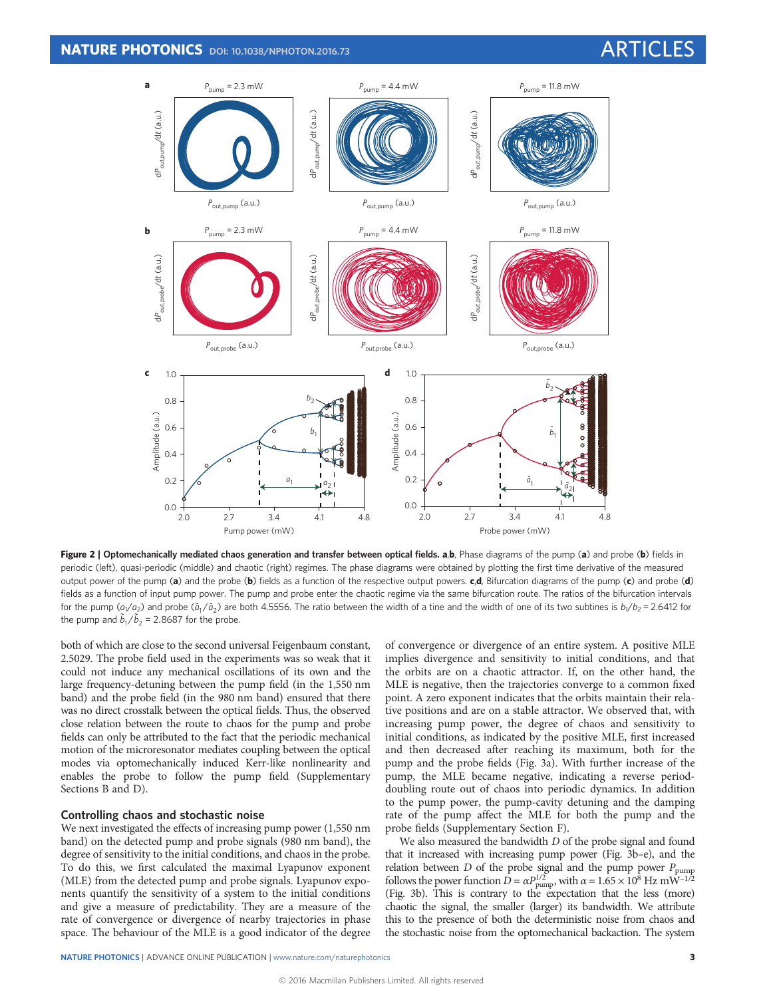

Figure 2 | Optomechanically mediated chaos generation and transfer between optical fields. a,b, Phase diagrams of the pump (a) and probe (b) fields in periodic (left), quasi-periodic (middle) and chaotic (right) regimes. The phase diagrams were obtained by plotting the first time derivative of the measured output power of the pump (a) and the probe (b) fields as a function of the respective output powers.  $c,d$ , Bifurcation diagrams of the pump  $(c)$  and probe (d) fields as a function of input pump power. The pump and probe enter the chaotic regime via the same bifurcation route. The ratios of the bifurcation intervals for the pump ( $a_1/a_2$ ) and probe ( $\tilde{a}_1/\tilde{a}_2$ ) are both 4.5556. The ratio between the width of a tine and the width of one of its two subtines is  $b_1/b_2 = 2.6412$  for the pump and  $\tilde{b}_1/\tilde{b}_2$  = 2.8687 for the probe.

both of which are close to the second universal Feigenbaum constant, 2.5029. The probe field used in the experiments was so weak that it could not induce any mechanical oscillations of its own and the large frequency-detuning between the pump field (in the 1,550 nm band) and the probe field (in the 980 nm band) ensured that there was no direct crosstalk between the optical fields. Thus, the observed close relation between the route to chaos for the pump and probe fields can only be attributed to the fact that the periodic mechanical motion of the microresonator mediates coupling between the optical modes via optomechanically induced Kerr-like nonlinearity and enables the probe to follow the pump field (Supplementary Sections B and D).

# Controlling chaos and stochastic noise

We next investigated the effects of increasing pump power (1,550 nm band) on the detected pump and probe signals (980 nm band), the degree of sensitivity to the initial conditions, and chaos in the probe. To do this, we first calculated the maximal Lyapunov exponent (MLE) from the detected pump and probe signals. Lyapunov exponents quantify the sensitivity of a system to the initial conditions and give a measure of predictability. They are a measure of the rate of convergence or divergence of nearby trajectories in phase space. The behaviour of the MLE is a good indicator of the degree of convergence or divergence of an entire system. A positive MLE implies divergence and sensitivity to initial conditions, and that the orbits are on a chaotic attractor. If, on the other hand, the MLE is negative, then the trajectories converge to a common fixed point. A zero exponent indicates that the orbits maintain their relative positions and are on a stable attractor. We observed that, with increasing pump power, the degree of chaos and sensitivity to initial conditions, as indicated by the positive MLE, first increased and then decreased after reaching its maximum, both for the pump and the probe fields (Fig. 3a). With further increase of the pump, the MLE became negative, indicating a reverse perioddoubling route out of chaos into periodic dynamics. In addition to the pump power, the pump-cavity detuning and the damping rate of the pump affect the MLE for both the pump and the probe fields (Supplementary Section F).

We also measured the bandwidth D of the probe signal and found that it increased with increasing pump power (Fig. 3b–e), and the relation between  $D$  of the probe signal and the pump power  $P_{\text{pump}}$ follows the power function  $\vec{D} = \alpha P_{\text{pump}}^{1/2}$ , with  $\alpha = 1.65 \times 10^8$  Hz mW<sup>-1/2</sup> (Fig. 3b). This is contrary to the expectation that the less (more) chaotic the signal, the smaller (larger) its bandwidth. We attribute this to the presence of both the deterministic noise from chaos and the stochastic noise from the optomechanical backaction. The system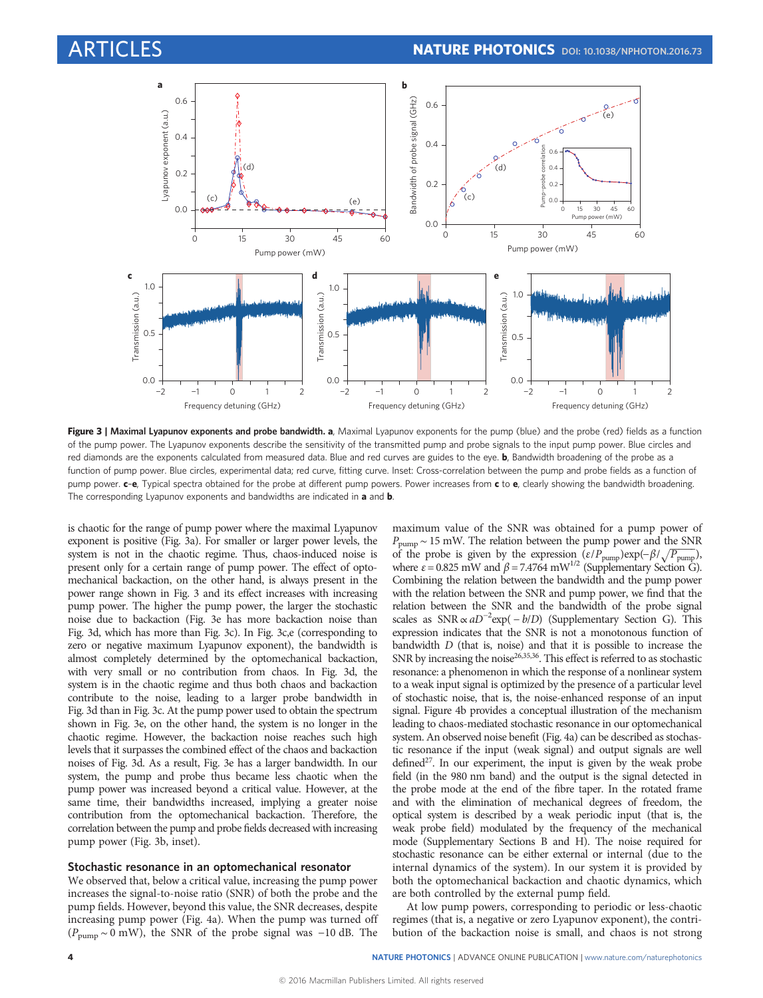

Figure 3 | Maximal Lyapunov exponents and probe bandwidth. a, Maximal Lyapunov exponents for the pump (blue) and the probe (red) fields as a function of the pump power. The Lyapunov exponents describe the sensitivity of the transmitted pump and probe signals to the input pump power. Blue circles and red diamonds are the exponents calculated from measured data. Blue and red curves are guides to the eye. b, Bandwidth broadening of the probe as a function of pump power. Blue circles, experimental data; red curve, fitting curve. Inset: Cross-correlation between the pump and probe fields as a function of pump power.  $c-e$ , Typical spectra obtained for the probe at different pump powers. Power increases from  $c$  to  $e$ , clearly showing the bandwidth broadening. The corresponding Lyapunov exponents and bandwidths are indicated in a and b.

is chaotic for the range of pump power where the maximal Lyapunov exponent is positive (Fig. 3a). For smaller or larger power levels, the system is not in the chaotic regime. Thus, chaos-induced noise is present only for a certain range of pump power. The effect of optomechanical backaction, on the other hand, is always present in the power range shown in Fig. 3 and its effect increases with increasing pump power. The higher the pump power, the larger the stochastic noise due to backaction (Fig. 3e has more backaction noise than Fig. 3d, which has more than Fig. 3c). In Fig. 3c,e (corresponding to zero or negative maximum Lyapunov exponent), the bandwidth is almost completely determined by the optomechanical backaction, with very small or no contribution from chaos. In Fig. 3d, the system is in the chaotic regime and thus both chaos and backaction contribute to the noise, leading to a larger probe bandwidth in Fig. 3d than in Fig. 3c. At the pump power used to obtain the spectrum shown in Fig. 3e, on the other hand, the system is no longer in the chaotic regime. However, the backaction noise reaches such high levels that it surpasses the combined effect of the chaos and backaction noises of Fig. 3d. As a result, Fig. 3e has a larger bandwidth. In our system, the pump and probe thus became less chaotic when the pump power was increased beyond a critical value. However, at the same time, their bandwidths increased, implying a greater noise contribution from the optomechanical backaction. Therefore, the correlation between the pump and probe fields decreased with increasing pump power (Fig. 3b, inset).

## Stochastic resonance in an optomechanical resonator

We observed that, below a critical value, increasing the pump power increases the signal-to-noise ratio (SNR) of both the probe and the pump fields. However, beyond this value, the SNR decreases, despite increasing pump power (Fig. 4a). When the pump was turned off  $(P_{\text{pump}} \sim 0 \text{ mW})$ , the SNR of the probe signal was -10 dB. The maximum value of the SNR was obtained for a pump power of  $P_{\text{pump}} \sim 15 \text{ mW}$ . The relation between the pump power and the SNR of the probe is given by the expression  $(\varepsilon/P_{\text{pump}}) \exp(-\beta/\sqrt{P_{\text{pump}}})$ , where  $\varepsilon = 0.825$  mW and  $\beta = 7.4764$  mW<sup>1/2</sup> (Supplementary Section G). Combining the relation between the bandwidth and the pump power with the relation between the SNR and pump power, we find that the relation between the SNR and the bandwidth of the probe signal scales as  $SNR \propto aD^{-2} \exp(-b/D)$  (Supplementary Section G). This expression indicates that the SNR is not a monotonous function of bandwidth D (that is, noise) and that it is possible to increase the SNR by increasing the noise<sup>26,35,36</sup>. This effect is referred to as stochastic resonance: a phenomenon in which the response of a nonlinear system to a weak input signal is optimized by the presence of a particular level of stochastic noise, that is, the noise-enhanced response of an input signal. Figure 4b provides a conceptual illustration of the mechanism leading to chaos-mediated stochastic resonance in our optomechanical system. An observed noise benefit (Fig. 4a) can be described as stochastic resonance if the input (weak signal) and output signals are well defined $2^7$ . In our experiment, the input is given by the weak probe field (in the 980 nm band) and the output is the signal detected in the probe mode at the end of the fibre taper. In the rotated frame and with the elimination of mechanical degrees of freedom, the optical system is described by a weak periodic input (that is, the weak probe field) modulated by the frequency of the mechanical mode (Supplementary Sections B and H). The noise required for stochastic resonance can be either external or internal (due to the internal dynamics of the system). In our system it is provided by both the optomechanical backaction and chaotic dynamics, which are both controlled by the external pump field.

At low pump powers, corresponding to periodic or less-chaotic regimes (that is, a negative or zero Lyapunov exponent), the contribution of the backaction noise is small, and chaos is not strong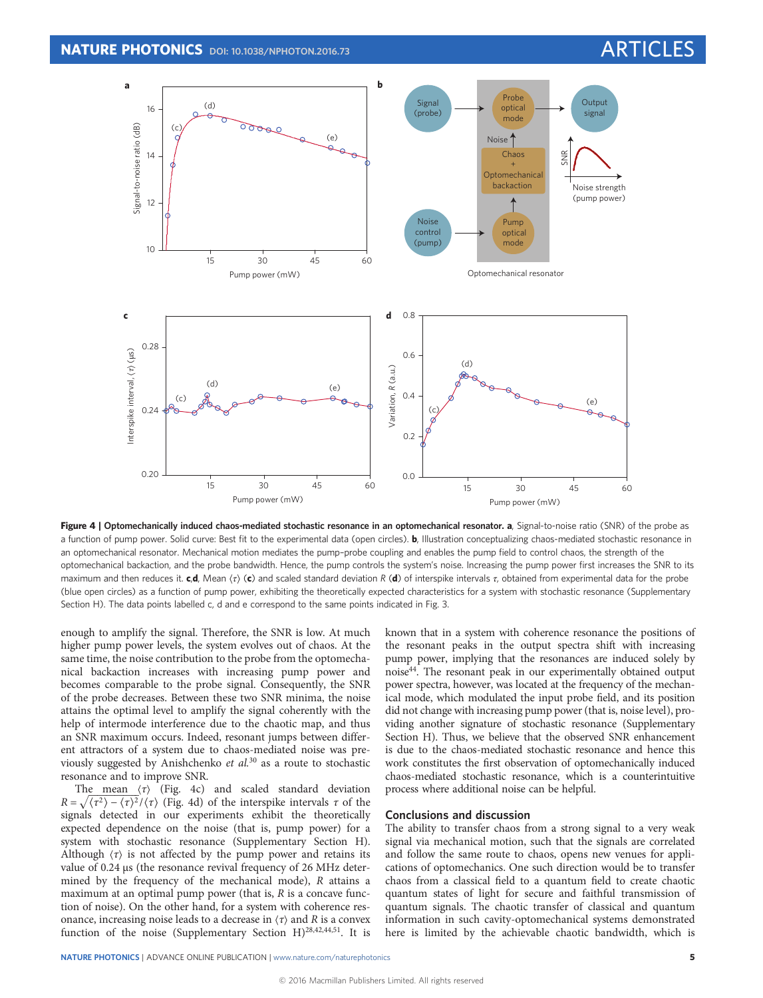![](_page_4_Figure_2.jpeg)

Figure 4 | Optomechanically induced chaos-mediated stochastic resonance in an optomechanical resonator. a, Signal-to-noise ratio (SNR) of the probe as a function of pump power. Solid curve: Best fit to the experimental data (open circles). **b**, Illustration conceptualizing chaos-mediated stochastic resonance in an optomechanical resonator. Mechanical motion mediates the pump–probe coupling and enables the pump field to control chaos, the strength of the optomechanical backaction, and the probe bandwidth. Hence, the pump controls the system's noise. Increasing the pump power first increases the SNR to its maximum and then reduces it. c,d, Mean  $\langle \tau \rangle$  (c) and scaled standard deviation R (d) of interspike intervals  $\tau$ , obtained from experimental data for the probe (blue open circles) as a function of pump power, exhibiting the theoretically expected characteristics for a system with stochastic resonance (Supplementary Section H). The data points labelled c, d and e correspond to the same points indicated in Fig. 3.

enough to amplify the signal. Therefore, the SNR is low. At much higher pump power levels, the system evolves out of chaos. At the same time, the noise contribution to the probe from the optomechanical backaction increases with increasing pump power and becomes comparable to the probe signal. Consequently, the SNR of the probe decreases. Between these two SNR minima, the noise attains the optimal level to amplify the signal coherently with the help of intermode interference due to the chaotic map, and thus an SNR maximum occurs. Indeed, resonant jumps between different attractors of a system due to chaos-mediated noise was previously suggested by Anishchenko et  $al$ <sup>30</sup> as a route to stochastic resonance and to improve SNR.

The mean  $\langle \tau \rangle$  (Fig. 4c) and scaled standard deviation  $R = \sqrt{\langle \tau^2 \rangle - \langle \tau \rangle^2}/\langle \tau \rangle$  (Fig. 4d) of the interspike intervals  $\tau$  of the signals detected in our experiments exhibit the theoretically expected dependence on the noise (that is, pump power) for a system with stochastic resonance (Supplementary Section H). Although  $\langle \tau \rangle$  is not affected by the pump power and retains its value of 0.24 μs (the resonance revival frequency of 26 MHz determined by the frequency of the mechanical mode), R attains a maximum at an optimal pump power (that is,  $R$  is a concave function of noise). On the other hand, for a system with coherence resonance, increasing noise leads to a decrease in  $\langle \tau \rangle$  and R is a convex function of the noise (Supplementary Section H)<sup>28,42,44,51</sup>. It is known that in a system with coherence resonance the positions of the resonant peaks in the output spectra shift with increasing pump power, implying that the resonances are induced solely by noise44. The resonant peak in our experimentally obtained output power spectra, however, was located at the frequency of the mechanical mode, which modulated the input probe field, and its position did not change with increasing pump power (that is, noise level), providing another signature of stochastic resonance (Supplementary Section H). Thus, we believe that the observed SNR enhancement is due to the chaos-mediated stochastic resonance and hence this work constitutes the first observation of optomechanically induced chaos-mediated stochastic resonance, which is a counterintuitive process where additional noise can be helpful.

# Conclusions and discussion

The ability to transfer chaos from a strong signal to a very weak signal via mechanical motion, such that the signals are correlated and follow the same route to chaos, opens new venues for applications of optomechanics. One such direction would be to transfer chaos from a classical field to a quantum field to create chaotic quantum states of light for secure and faithful transmission of quantum signals. The chaotic transfer of classical and quantum information in such cavity-optomechanical systems demonstrated here is limited by the achievable chaotic bandwidth, which is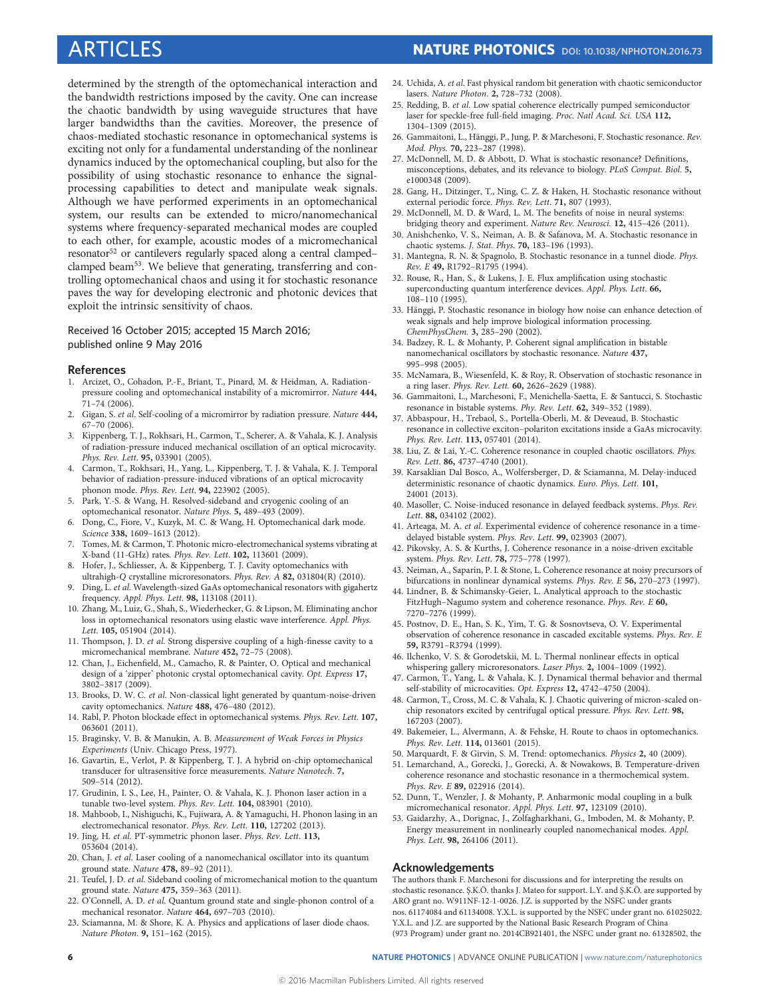determined by the strength of the optomechanical interaction and the bandwidth restrictions imposed by the cavity. One can increase the chaotic bandwidth by using waveguide structures that have larger bandwidths than the cavities. Moreover, the presence of chaos-mediated stochastic resonance in optomechanical systems is exciting not only for a fundamental understanding of the nonlinear dynamics induced by the optomechanical coupling, but also for the possibility of using stochastic resonance to enhance the signalprocessing capabilities to detect and manipulate weak signals. Although we have performed experiments in an optomechanical system, our results can be extended to micro/nanomechanical systems where frequency-separated mechanical modes are coupled to each other, for example, acoustic modes of a micromechanical resonator<sup>52</sup> or cantilevers regularly spaced along a central clamped– clamped beam53. We believe that generating, transferring and controlling optomechanical chaos and using it for stochastic resonance paves the way for developing electronic and photonic devices that exploit the intrinsic sensitivity of chaos.

# Received 16 October 2015; accepted 15 March 2016; published online 9 May 2016

### References

- 1. Arcizet, O., Cohadon, P.-F., Briant, T., Pinard, M. & Heidman, A. Radiationpressure cooling and optomechanical instability of a micromirror. Nature 444, 71–74 (2006).
- 2. Gigan, S. et al. Self-cooling of a micromirror by radiation pressure. Nature 444, 67–70 (2006).
- 3. Kippenberg, T. J., Rokhsari, H., Carmon, T., Scherer, A. & Vahala, K. J. Analysis of radiation-pressure induced mechanical oscillation of an optical microcavity. Phys. Rev. Lett. 95, 033901 (2005).
- 4. Carmon, T., Rokhsari, H., Yang, L., Kippenberg, T. J. & Vahala, K. J. Temporal behavior of radiation-pressure-induced vibrations of an optical microcavity phonon mode. Phys. Rev. Lett. 94, 223902 (2005).
- 5. Park, Y.-S. & Wang, H. Resolved-sideband and cryogenic cooling of an optomechanical resonator. Nature Phys. 5, 489–493 (2009).
- 6. Dong, C., Fiore, V., Kuzyk, M. C. & Wang, H. Optomechanical dark mode. Science 338, 1609-1613 (2012).
- 7. Tomes, M. & Carmon, T. Photonic micro-electromechanical systems vibrating at X-band (11-GHz) rates. Phys. Rev. Lett. 102, 113601 (2009).
- Hofer, J., Schliesser, A. & Kippenberg, T. J. Cavity optomechanics with ultrahigh-Q crystalline microresonators. Phys. Rev. A 82, 031804(R) (2010).
- 9. Ding, L. et al. Wavelength-sized GaAs optomechanical resonators with gigahertz frequency. Appl. Phys. Lett. 98, 113108 (2011).
- 10. Zhang, M., Luiz, G., Shah, S., Wiederhecker, G. & Lipson, M. Eliminating anchor loss in optomechanical resonators using elastic wave interference. Appl. Phys. Lett. 105, 051904 (2014).
- 11. Thompson, J. D. et al. Strong dispersive coupling of a high-finesse cavity to a micromechanical membrane. Nature 452, 72–75 (2008).
- 12. Chan, J., Eichenfield, M., Camacho, R. & Painter, O. Optical and mechanical design of a 'zipper' photonic crystal optomechanical cavity. Opt. Express 17, 3802–3817 (2009).
- 13. Brooks, D. W. C. et al. Non-classical light generated by quantum-noise-driven cavity optomechanics. Nature 488, 476–480 (2012).
- 14. Rabl, P. Photon blockade effect in optomechanical systems. Phys. Rev. Lett. 107, 063601 (2011).
- 15. Braginsky, V. B. & Manukin, A. B. Measurement of Weak Forces in Physics Experiments (Univ. Chicago Press, 1977).
- 16. Gavartin, E., Verlot, P. & Kippenberg, T. J. A hybrid on-chip optomechanical transducer for ultrasensitive force measurements. Nature Nanotech. 7, 509–514 (2012).
- 17. Grudinin, I. S., Lee, H., Painter, O. & Vahala, K. J. Phonon laser action in a tunable two-level system. Phys. Rev. Lett. 104, 083901 (2010).
- 18. Mahboob, I., Nishiguchi, K., Fujiwara, A. & Yamaguchi, H. Phonon lasing in an electromechanical resonator. Phys. Rev. Lett. 110, 127202 (2013).
- 19. Jing, H. et al. PT-symmetric phonon laser. Phys. Rev. Lett. 113, 053604 (2014).
- 20. Chan, J. et al. Laser cooling of a nanomechanical oscillator into its quantum ground state. Nature 478, 89–92 (2011).
- 21. Teufel, J. D. et al. Sideband cooling of micromechanical motion to the quantum ground state. Nature 475, 359-363 (2011).
- 22. O'Connell, A. D. et al. Quantum ground state and single-phonon control of a mechanical resonator. Nature 464, 697–703 (2010).
- 23. Sciamanna, M. & Shore, K. A. Physics and applications of laser diode chaos. Nature Photon. 9, 151–162 (2015).
- 24. Uchida, A. et al. Fast physical random bit generation with chaotic semiconductor lasers. Nature Photon. 2, 728–732 (2008).
- 25. Redding, B. et al. Low spatial coherence electrically pumped semiconductor laser for speckle-free full-field imaging. Proc. Natl Acad. Sci. USA 112, 1304–1309 (2015).
- 26. Gammaitoni, L., Hänggi, P., Jung, P. & Marchesoni, F. Stochastic resonance. Rev. Mod. Phys. 70, 223–287 (1998).
- 27. McDonnell, M. D. & Abbott, D. What is stochastic resonance? Definitions, misconceptions, debates, and its relevance to biology. PLoS Comput. Biol. 5, e1000348 (2009).
- 28. Gang, H., Ditzinger, T., Ning, C. Z. & Haken, H. Stochastic resonance without external periodic force. Phys. Rev. Lett. 71, 807 (1993).
- 29. McDonnell, M. D. & Ward, L. M. The benefits of noise in neural systems: bridging theory and experiment. Nature Rev. Neurosci. 12, 415–426 (2011).
- 30. Anishchenko, V. S., Neiman, A. B. & Safanova, M. A. Stochastic resonance in chaotic systems. J. Stat. Phys. 70, 183–196 (1993).
- 31. Mantegna, R. N. & Spagnolo, B. Stochastic resonance in a tunnel diode. Phys. Rev. E 49, R1792–R1795 (1994).
- 32. Rouse, R., Han, S., & Lukens, J. E. Flux amplification using stochastic superconducting quantum interference devices. Appl. Phys. Lett. 66,  $108 - 110$  (1995).
- 33. Hänggi, P. Stochastic resonance in biology how noise can enhance detection of weak signals and help improve biological information processing. ChemPhysChem. 3, 285–290 (2002).
- 34. Badzey, R. L. & Mohanty, P. Coherent signal amplification in bistable nanomechanical oscillators by stochastic resonance. Nature 437, 995–998 (2005).
- 35. McNamara, B., Wiesenfeld, K. & Roy, R. Observation of stochastic resonance in a ring laser. Phys. Rev. Lett. 60, 2626–2629 (1988).
- 36. Gammaitoni, L., Marchesoni, F., Menichella-Saetta, E. & Santucci, S. Stochastic resonance in bistable systems. Phy. Rev. Lett. 62, 349-352 (1989).
- 37. Abbaspour, H., Trebaol, S., Portella-Oberli, M. & Deveaud, B. Stochastic resonance in collective exciton–polariton excitations inside a GaAs microcavity. Phys. Rev. Lett. 113, 057401 (2014).
- 38. Liu, Z. & Lai, Y.-C. Coherence resonance in coupled chaotic oscillators. Phys. Rev. Lett. 86, 4737–4740 (2001).
- 39. Karsaklian Dal Bosco, A., Wolfersberger, D. & Sciamanna, M. Delay-induced deterministic resonance of chaotic dynamics. Euro. Phys. Lett. 101, 24001 (2013).
- 40. Masoller, C. Noise-induced resonance in delayed feedback systems. Phys. Rev. Lett. 88, 034102 (2002).
- 41. Arteaga, M. A. et al. Experimental evidence of coherence resonance in a timedelayed bistable system. Phys. Rev. Lett. 99, 023903 (2007).
- 42. Pikovsky, A. S. & Kurths, J. Coherence resonance in a noise-driven excitable system. Phys. Rev. Lett. 78, 775–778 (1997).
- 43. Neiman, A., Saparin, P. I. & Stone, L. Coherence resonance at noisy precursors of bifurcations in nonlinear dynamical systems. Phys. Rev. E 56, 270–273 (1997).
- 44. Lindner, B. & Schimansky-Geier, L. Analytical approach to the stochastic FitzHugh–Nagumo system and coherence resonance. Phys. Rev. E 60, 7270–7276 (1999).
- 45. Postnov, D. E., Han, S. K., Yim, T. G. & Sosnovtseva, O. V. Experimental observation of coherence resonance in cascaded excitable systems. Phys. Rev. E 59, R3791–R3794 (1999).
- 46. Ilchenko, V. S. & Gorodetskii, M. L. Thermal nonlinear effects in optical whispering gallery microresonators. Laser Phys. 2, 1004-1009 (1992).
- 47. Carmon, T., Yang, L. & Vahala, K. J. Dynamical thermal behavior and thermal self-stability of microcavities. Opt. Express 12, 4742–4750 (2004).
- 48. Carmon, T., Cross, M. C. & Vahala, K. J. Chaotic quivering of micron-scaled onchip resonators excited by centrifugal optical pressure. Phys. Rev. Lett. 98, 167203 (2007).
- 49. Bakemeier, L., Alvermann, A. & Fehske, H. Route to chaos in optomechanics. Phys. Rev. Lett. 114, 013601 (2015).
- 50. Marquardt, F. & Girvin, S. M. Trend: optomechanics. Physics 2, 40 (2009).
- 51. Lemarchand, A., Gorecki, J., Gorecki, A. & Nowakows, B. Temperature-driven coherence resonance and stochastic resonance in a thermochemical system. Phys. Rev. E 89, 022916 (2014).
- 52. Dunn, T., Wenzler, J. & Mohanty, P. Anharmonic modal coupling in a bulk micromechanical resonator. Appl. Phys. Lett. 97, 123109 (2010).
- 53. Gaidarzhy, A., Dorignac, J., Zolfagharkhani, G., Imboden, M. & Mohanty, P. Energy measurement in nonlinearly coupled nanomechanical modes. Appl. Phys. Lett. 98, 264106 (2011).

# Acknowledgements

The authors thank F. Marchesoni for discussions and for interpreting the results on stochastic resonance. Ş.K.Ö. thanks J. Mateo for support. L.Y. and Ş.K.Ö. are supported by ARO grant no. W911NF-12-1-0026. J.Z. is supported by the NSFC under grants nos. 61174084 and 61134008. Y.X.L. is supported by the NSFC under grant no. 61025022. Y.X.L. and J.Z. are supported by the National Basic Research Program of China (973 Program) under grant no. 2014CB921401, the NSFC under grant no. 61328502, the